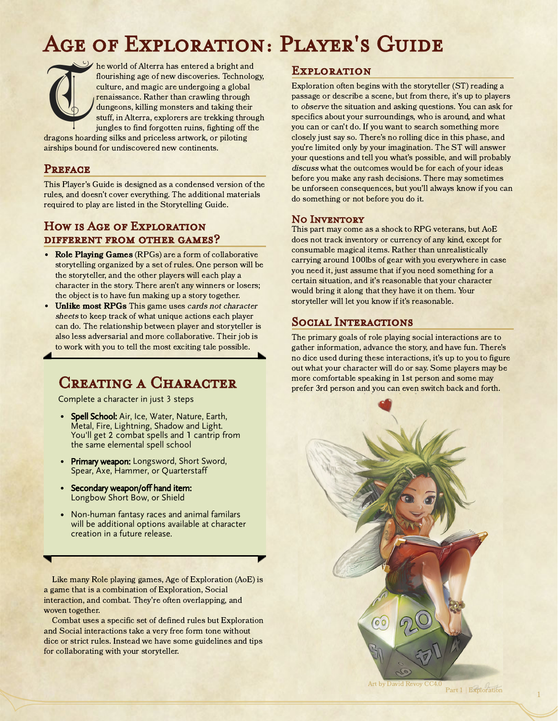# Age of Exploration: Player's Guide



he world of Alterra has entered a bright and flourishing age of new discoveries. Technology, culture, and magic are undergoing a global renaissance. Rather than crawling through dungeons, killing monsters and taking their stuff, in Alterra, explorers are trekking through jungles to find forgotten ruins, fighting off the

dragons hoarding silks and priceless artwork, or piloting airships bound for undiscovered new continents.

#### **PREFACE**

This Player's Guide is designed as a condensed version of the rules, and doesn't cover everything. The additional materials required to play are listed in the Storytelling Guide.

#### How is Age of Exploration different from other games?

- Role Playing Games (RPGs) are a form of collaborative storytelling organized by a set of rules. One person will be the storyteller, and the other players will each play a character in the story. There aren't any winners or losers; the object is to have fun making up a story together.
- Unlike most RPGs This game uses cards not character sheets to keep track of what unique actions each player can do. The relationship between player and storyteller is also less adversarial and more collaborative. Their job is to work with you to tell the most exciting tale possible.

### CREATING A CHARACTER

Complete a character in just 3 steps

- Spell School: Air, Ice, Water, Nature, Earth, Metal, Fire, Lightning, Shadow and Light. You'll get 2 combat spells and 1 cantrip from the same elemental spell school
- Primary weapon: Longsword, Short Sword, Spear, Axe, Hammer, or Quarterstaff
- Secondary weapon/off hand item: Longbow Short Bow, or Shield
- Non-human fantasy races and animal familars will be additional options available at character creation in a future release.

Like many Role playing games, Age of Exploration (AoE) is a game that is a combination of Exploration, Social interaction, and combat. They're often overlapping, and woven together.

Combat uses a specific set of defined rules but Exploration and Social interactions take a very free form tone without dice or strict rules. Instead we have some guidelines and tips for collaborating with your storyteller.

#### **EXPLORATION**

Exploration often begins with the storyteller (ST) reading a passage or describe a scene, but from there, it's up to players to observe the situation and asking questions. You can ask for specifics about your surroundings, who is around, and what you can or can't do. If you want to search something more closely just say so. There's no rolling dice in this phase, and you're limited only by your imagination. The ST will answer your questions and tell you what's possible, and will probably discuss what the outcomes would be for each of your ideas before you make any rash decisions. There may sometimes be unforseen consequences, but you'll always know if you can do something or not before you do it.

#### NO INVENTORY

This part may come as a shock to RPG veterans, but AoE does not track inventory or currency of any kind, except for consumable magical items. Rather than unrealistically carrying around 100lbs of gear with you everywhere in case you need it, just assume that if you need something for a certain situation, and it's reasonable that your character would bring it along that they have it on them. Your storyteller will let you know if it's reasonable.

#### Social Interactions

The primary goals of role playing social interactions are to gather information, advance the story, and have fun. There's no dice used during these interactions, it's up to you to figure out what your character will do or say. Some players may be more comfortable speaking in 1st person and some may prefer 3rd person and you can even switch back and forth.



Part 1 | Exploration